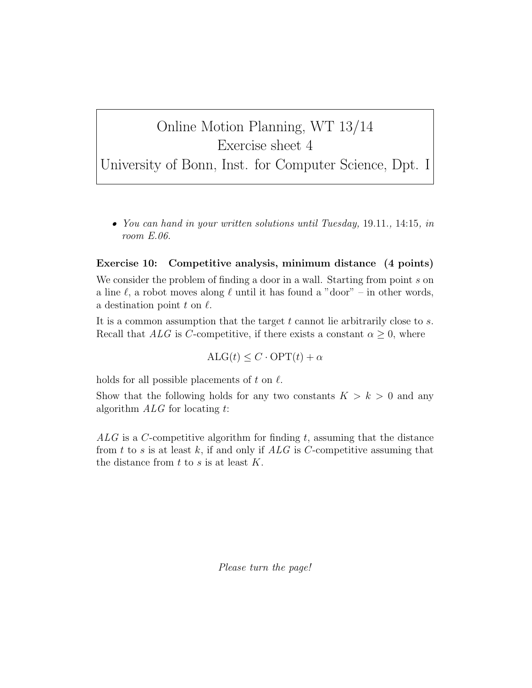## Online Motion Planning, WT 13/14 Exercise sheet 4

University of Bonn, Inst. for Computer Science, Dpt. I

• You can hand in your written solutions until Tuesday, 19.11., 14:15, in room E.06.

## Exercise 10: Competitive analysis, minimum distance (4 points)

We consider the problem of finding a door in a wall. Starting from point s on a line  $\ell$ , a robot moves along  $\ell$  until it has found a "door" – in other words, a destination point  $t$  on  $\ell$ .

It is a common assumption that the target  $t$  cannot lie arbitrarily close to  $s$ . Recall that ALG is C-competitive, if there exists a constant  $\alpha \geq 0$ , where

 $ALG(t) \leq C \cdot OPT(t) + \alpha$ 

holds for all possible placements of t on  $\ell$ .

Show that the following holds for any two constants  $K > k > 0$  and any algorithm  $ALG$  for locating t:

 $ALG$  is a C-competitive algorithm for finding t, assuming that the distance from  $t$  to  $s$  is at least  $k$ , if and only if  $ALG$  is  $C$ -competitive assuming that the distance from  $t$  to  $s$  is at least  $K$ .

Please turn the page!